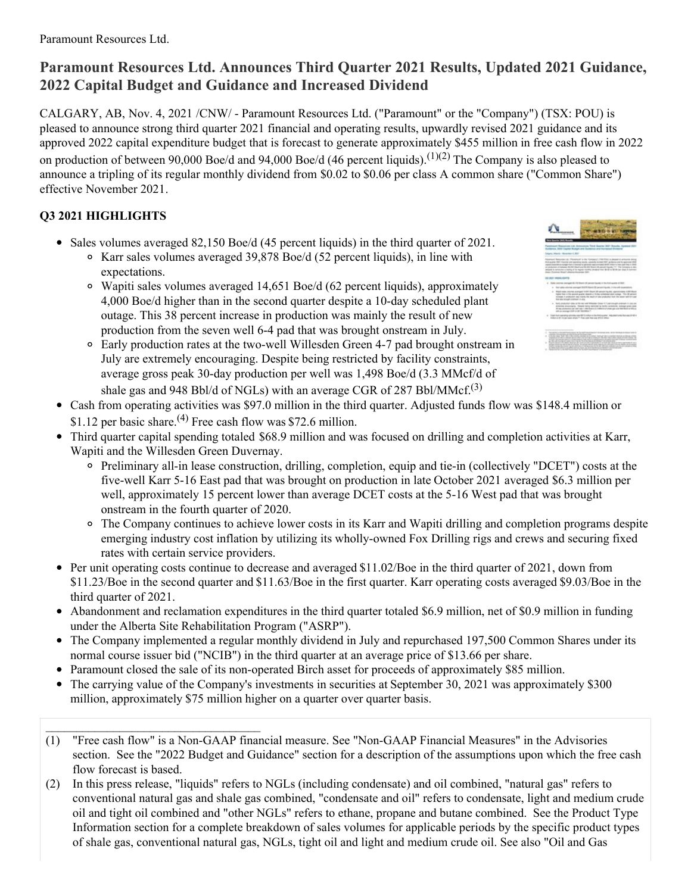# **Paramount Resources Ltd. Announces Third Quarter 2021 Results, Updated 2021 Guidance, 2022 Capital Budget and Guidance and Increased Dividend**

CALGARY, AB, Nov. 4, 2021 /CNW/ - Paramount Resources Ltd. ("Paramount" or the "Company") (TSX: POU) is pleased to announce strong third quarter 2021 financial and operating results, upwardly revised 2021 guidance and its approved 2022 capital expenditure budget that is forecast to generate approximately \$455 million in free cash flow in 2022 on production of between 90,000 Boe/d and 94,000 Boe/d (46 percent liquids).<sup>(1)(2)</sup> The Company is also pleased to announce a tripling of its regular monthly dividend from \$0.02 to \$0.06 per class A common share ("Common Share") effective November 2021.

# **Q3 2021 HIGHLIGHTS**

 $\mathcal{L}_\text{max}$ 

- Sales volumes averaged 82,150 Boe/d (45 percent liquids) in the third quarter of 2021. Karr sales volumes averaged 39,878 Boe/d (52 percent liquids), in line with expectations.
	- Wapiti sales volumes averaged 14,651 Boe/d (62 percent liquids), approximately 4,000 Boe/d higher than in the second quarter despite a 10-day scheduled plant outage. This 38 percent increase in production was mainly the result of new production from the seven well 6-4 pad that was brought onstream in July.





- Cash from operating activities was \$97.0 million in the third quarter. Adjusted funds flow was \$148.4 million or \$1.12 per basic share.<sup>(4)</sup> Free cash flow was \$72.6 million.
- Third quarter capital spending totaled \$68.9 million and was focused on drilling and completion activities at Karr, Wapiti and the Willesden Green Duvernay.
	- Preliminary all-in lease construction, drilling, completion, equip and tie-in (collectively "DCET") costs at the five-well Karr 5-16 East pad that was brought on production in late October 2021 averaged \$6.3 million per well, approximately 15 percent lower than average DCET costs at the 5-16 West pad that was brought onstream in the fourth quarter of 2020.
	- The Company continues to achieve lower costs in its Karr and Wapiti drilling and completion programs despite emerging industry cost inflation by utilizing its wholly-owned Fox Drilling rigs and crews and securing fixed rates with certain service providers.
- Per unit operating costs continue to decrease and averaged \$11.02/Boe in the third quarter of 2021, down from \$11.23/Boe in the second quarter and \$11.63/Boe in the first quarter. Karr operating costs averaged \$9.03/Boe in the third quarter of 2021.
- Abandonment and reclamation expenditures in the third quarter totaled \$6.9 million, net of \$0.9 million in funding under the Alberta Site Rehabilitation Program ("ASRP").
- The Company implemented a regular monthly dividend in July and repurchased 197,500 Common Shares under its normal course issuer bid ("NCIB") in the third quarter at an average price of \$13.66 per share.
- Paramount closed the sale of its non-operated Birch asset for proceeds of approximately \$85 million.
- The carrying value of the Company's investments in securities at September 30, 2021 was approximately \$300 million, approximately \$75 million higher on a quarter over quarter basis.
- (1) "Free cash flow" is a Non-GAAP financial measure. See "Non-GAAP Financial Measures" in the Advisories section. See the "2022 Budget and Guidance" section for a description of the assumptions upon which the free cash flow forecast is based.
- (2) In this press release, "liquids" refers to NGLs (including condensate) and oil combined, "natural gas" refers to conventional natural gas and shale gas combined, "condensate and oil" refers to condensate, light and medium crude oil and tight oil combined and "other NGLs" refers to ethane, propane and butane combined. See the Product Type Information section for a complete breakdown of sales volumes for applicable periods by the specific product types of shale gas, conventional natural gas, NGLs, tight oil and light and medium crude oil. See also "Oil and Gas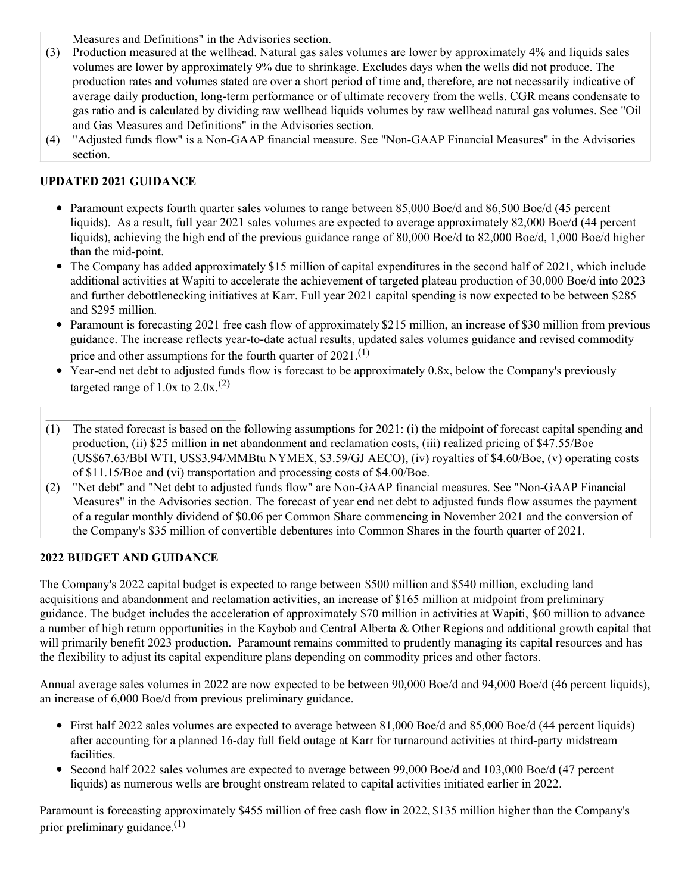Measures and Definitions" in the Advisories section.

- (3) Production measured at the wellhead. Natural gas sales volumes are lower by approximately 4% and liquids sales volumes are lower by approximately 9% due to shrinkage. Excludes days when the wells did not produce. The production rates and volumes stated are over a short period of time and, therefore, are not necessarily indicative of average daily production, long-term performance or of ultimate recovery from the wells. CGR means condensate to gas ratio and is calculated by dividing raw wellhead liquids volumes by raw wellhead natural gas volumes. See "Oil and Gas Measures and Definitions" in the Advisories section.
- (4) "Adjusted funds flow" is a Non-GAAP financial measure. See "Non-GAAP Financial Measures" in the Advisories section.

# **UPDATED 2021 GUIDANCE**

- Paramount expects fourth quarter sales volumes to range between 85,000 Boe/d and 86,500 Boe/d (45 percent liquids). As a result, full year 2021 sales volumes are expected to average approximately 82,000 Boe/d (44 percent liquids), achieving the high end of the previous guidance range of 80,000 Boe/d to 82,000 Boe/d, 1,000 Boe/d higher than the mid-point.
- The Company has added approximately \$15 million of capital expenditures in the second half of 2021, which include additional activities at Wapiti to accelerate the achievement of targeted plateau production of 30,000 Boe/d into 2023 and further debottlenecking initiatives at Karr. Full year 2021 capital spending is now expected to be between \$285 and \$295 million.
- Paramount is forecasting 2021 free cash flow of approximately \$215 million, an increase of \$30 million from previous guidance. The increase reflects year-to-date actual results, updated sales volumes guidance and revised commodity price and other assumptions for the fourth quarter of  $2021$ .<sup>(1)</sup>
- Year-end net debt to adjusted funds flow is forecast to be approximately 0.8x, below the Company's previously targeted range of  $1.0x$  to  $2.0x$ .<sup>(2)</sup>
- \_\_\_\_\_\_\_\_\_\_\_\_\_\_\_\_\_\_\_\_\_\_\_\_\_\_\_\_\_\_\_ (1) The stated forecast is based on the following assumptions for 2021: (i) the midpoint of forecast capital spending and production, (ii) \$25 million in net abandonment and reclamation costs, (iii) realized pricing of \$47.55/Boe (US\$67.63/Bbl WTI, US\$3.94/MMBtu NYMEX, \$3.59/GJ AECO), (iv) royalties of \$4.60/Boe, (v) operating costs of \$11.15/Boe and (vi) transportation and processing costs of \$4.00/Boe.
- (2) "Net debt" and "Net debt to adjusted funds flow" are Non-GAAP financial measures. See "Non-GAAP Financial Measures" in the Advisories section. The forecast of year end net debt to adjusted funds flow assumes the payment of a regular monthly dividend of \$0.06 per Common Share commencing in November 2021 and the conversion of the Company's \$35 million of convertible debentures into Common Shares in the fourth quarter of 2021.

# **2022 BUDGET AND GUIDANCE**

The Company's 2022 capital budget is expected to range between \$500 million and \$540 million, excluding land acquisitions and abandonment and reclamation activities, an increase of \$165 million at midpoint from preliminary guidance. The budget includes the acceleration of approximately \$70 million in activities at Wapiti, \$60 million to advance a number of high return opportunities in the Kaybob and Central Alberta & Other Regions and additional growth capital that will primarily benefit 2023 production. Paramount remains committed to prudently managing its capital resources and has the flexibility to adjust its capital expenditure plans depending on commodity prices and other factors.

Annual average sales volumes in 2022 are now expected to be between 90,000 Boe/d and 94,000 Boe/d (46 percent liquids), an increase of 6,000 Boe/d from previous preliminary guidance.

- First half 2022 sales volumes are expected to average between 81,000 Boe/d and 85,000 Boe/d (44 percent liquids) after accounting for a planned 16-day full field outage at Karr for turnaround activities at third-party midstream facilities.
- Second half 2022 sales volumes are expected to average between 99,000 Boe/d and 103,000 Boe/d (47 percent liquids) as numerous wells are brought onstream related to capital activities initiated earlier in 2022.

Paramount is forecasting approximately \$455 million of free cash flow in 2022, \$135 million higher than the Company's prior preliminary guidance.<sup>(1)</sup>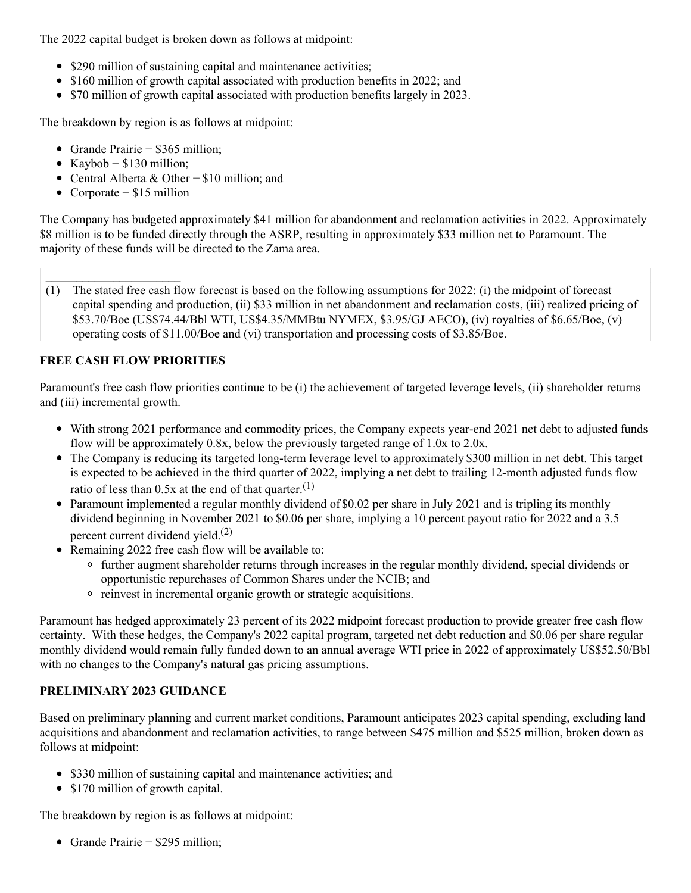The 2022 capital budget is broken down as follows at midpoint:

- \$290 million of sustaining capital and maintenance activities;
- \$160 million of growth capital associated with production benefits in 2022; and
- \$70 million of growth capital associated with production benefits largely in 2023.

The breakdown by region is as follows at midpoint:

- Grande Prairie − \$365 million;
- $\bullet$  Kaybob \$130 million:
- Central Alberta & Other − \$10 million; and
- Corporate − \$15 million

The Company has budgeted approximately \$41 million for abandonment and reclamation activities in 2022. Approximately \$8 million is to be funded directly through the ASRP, resulting in approximately \$33 million net to Paramount. The majority of these funds will be directed to the Zama area.

(1) The stated free cash flow forecast is based on the following assumptions for 2022: (i) the midpoint of forecast capital spending and production, (ii) \$33 million in net abandonment and reclamation costs, (iii) realized pricing of \$53.70/Boe (US\$74.44/Bbl WTI, US\$4.35/MMBtu NYMEX, \$3.95/GJ AECO), (iv) royalties of \$6.65/Boe, (v) operating costs of \$11.00/Boe and (vi) transportation and processing costs of \$3.85/Boe.

# **FREE CASH FLOW PRIORITIES**

Paramount's free cash flow priorities continue to be (i) the achievement of targeted leverage levels, (ii) shareholder returns and (iii) incremental growth.

- With strong 2021 performance and commodity prices, the Company expects year-end 2021 net debt to adjusted funds flow will be approximately 0.8x, below the previously targeted range of 1.0x to 2.0x.
- The Company is reducing its targeted long-term leverage level to approximately \$300 million in net debt. This target is expected to be achieved in the third quarter of 2022, implying a net debt to trailing 12-month adjusted funds flow ratio of less than  $0.5x$  at the end of that quarter.<sup>(1)</sup>
- Paramount implemented a regular monthly dividend of \$0.02 per share in July 2021 and is tripling its monthly dividend beginning in November 2021 to \$0.06 per share, implying a 10 percent payout ratio for 2022 and a 3.5 percent current dividend yield.<sup>(2)</sup>
- Remaining 2022 free cash flow will be available to:
	- further augment shareholder returns through increases in the regular monthly dividend, special dividends or opportunistic repurchases of Common Shares under the NCIB; and
	- $\circ$  reinvest in incremental organic growth or strategic acquisitions.

Paramount has hedged approximately 23 percent of its 2022 midpoint forecast production to provide greater free cash flow certainty. With these hedges, the Company's 2022 capital program, targeted net debt reduction and \$0.06 per share regular monthly dividend would remain fully funded down to an annual average WTI price in 2022 of approximately US\$52.50/Bbl with no changes to the Company's natural gas pricing assumptions.

# **PRELIMINARY 2023 GUIDANCE**

Based on preliminary planning and current market conditions, Paramount anticipates 2023 capital spending, excluding land acquisitions and abandonment and reclamation activities, to range between \$475 million and \$525 million, broken down as follows at midpoint:

- \$330 million of sustaining capital and maintenance activities; and
- \$170 million of growth capital.

The breakdown by region is as follows at midpoint:

Grande Prairie − \$295 million;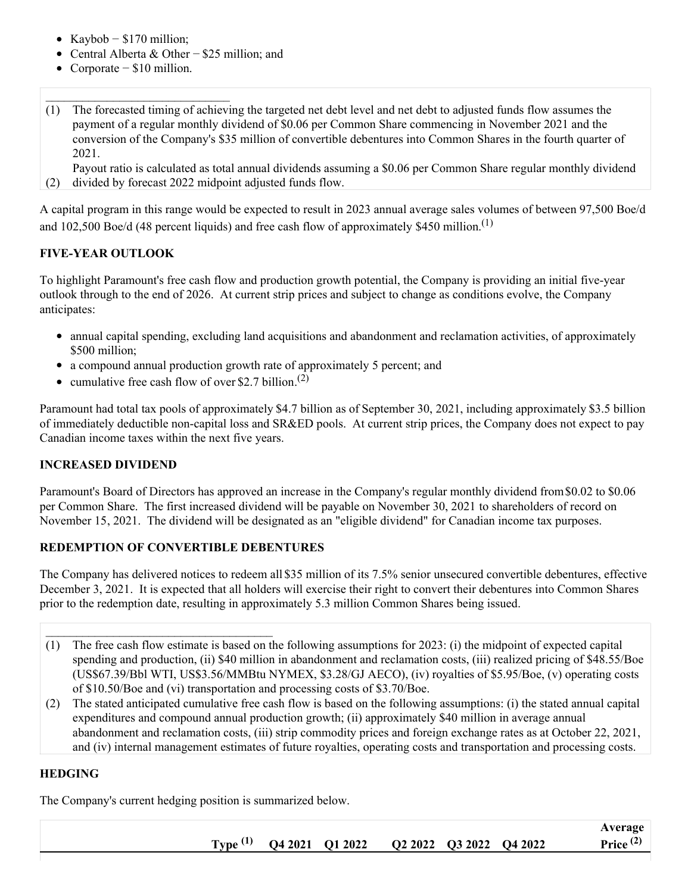- Kaybob  $$170$  million;
- Central Alberta & Other − \$25 million; and
- Corporate  $$10$  million.
- (1) The forecasted timing of achieving the targeted net debt level and net debt to adjusted funds flow assumes the payment of a regular monthly dividend of \$0.06 per Common Share commencing in November 2021 and the conversion of the Company's \$35 million of convertible debentures into Common Shares in the fourth quarter of 2021.

(2) Payout ratio is calculated as total annual dividends assuming a \$0.06 per Common Share regular monthly dividend divided by forecast 2022 midpoint adjusted funds flow.

A capital program in this range would be expected to result in 2023 annual average sales volumes of between 97,500 Boe/d and 102,500 Boe/d (48 percent liquids) and free cash flow of approximately \$450 million.<sup>(1)</sup>

### **FIVE-YEAR OUTLOOK**

To highlight Paramount's free cash flow and production growth potential, the Company is providing an initial five-year outlook through to the end of 2026. At current strip prices and subject to change as conditions evolve, the Company anticipates:

- annual capital spending, excluding land acquisitions and abandonment and reclamation activities, of approximately \$500 million:
- a compound annual production growth rate of approximately 5 percent; and
- cumulative free cash flow of over \$2.7 billion.<sup>(2)</sup>

Paramount had total tax pools of approximately \$4.7 billion as of September 30, 2021, including approximately \$3.5 billion of immediately deductible non-capital loss and SR&ED pools. At current strip prices, the Company does not expect to pay Canadian income taxes within the next five years.

#### **INCREASED DIVIDEND**

Paramount's Board of Directors has approved an increase in the Company's regular monthly dividend from\$0.02 to \$0.06 per Common Share. The first increased dividend will be payable on November 30, 2021 to shareholders of record on November 15, 2021. The dividend will be designated as an "eligible dividend" for Canadian income tax purposes.

#### **REDEMPTION OF CONVERTIBLE DEBENTURES**

 $\mathcal{L}_\text{max}$ 

The Company has delivered notices to redeem all \$35 million of its 7.5% senior unsecured convertible debentures, effective December 3, 2021. It is expected that all holders will exercise their right to convert their debentures into Common Shares prior to the redemption date, resulting in approximately 5.3 million Common Shares being issued.

- (1) The free cash flow estimate is based on the following assumptions for 2023: (i) the midpoint of expected capital spending and production, (ii) \$40 million in abandonment and reclamation costs, (iii) realized pricing of \$48.55/Boe (US\$67.39/Bbl WTI, US\$3.56/MMBtu NYMEX, \$3.28/GJ AECO), (iv) royalties of \$5.95/Boe, (v) operating costs of \$10.50/Boe and (vi) transportation and processing costs of \$3.70/Boe.
- (2) The stated anticipated cumulative free cash flow is based on the following assumptions: (i) the stated annual capital expenditures and compound annual production growth; (ii) approximately \$40 million in average annual abandonment and reclamation costs, (iii) strip commodity prices and foreign exchange rates as at October 22, 2021, and (iv) internal management estimates of future royalties, operating costs and transportation and processing costs.

#### **HEDGING**

The Company's current hedging position is summarized below.

|  |                                                             |  | Average     |
|--|-------------------------------------------------------------|--|-------------|
|  | Type <sup>(1)</sup> Q4 2021 Q1 2022 Q2 2022 Q3 2022 Q4 2022 |  | Price $(2)$ |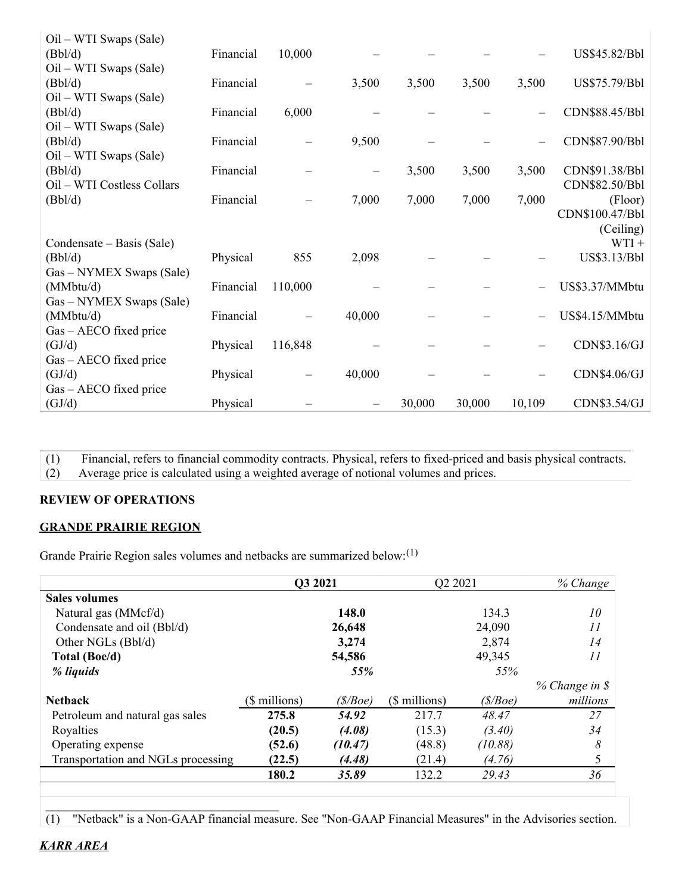| $Oil - WTI$ Swaps (Sale)               |           |         |                 |        |        |        |                 |
|----------------------------------------|-----------|---------|-----------------|--------|--------|--------|-----------------|
| (Bbl/d)                                | Financial | 10,000  |                 |        |        |        | US\$45.82/Bbl   |
| $\text{Oil} - \text{WTI Swaps}$ (Sale) |           |         |                 |        |        |        |                 |
| (Bbl/d)                                | Financial |         | 3,500           | 3,500  | 3,500  | 3,500  | US\$75.79/Bbl   |
| $Oil - WTI$ Swaps (Sale)               |           |         |                 |        |        |        |                 |
| (Bbl/d)                                | Financial | 6,000   |                 |        |        |        | CDN\$88.45/Bbl  |
| Oil – WTI Swaps (Sale)                 |           |         |                 |        |        |        |                 |
| (Bbl/d)                                | Financial |         | 9,500           |        |        |        | CDN\$87.90/Bbl  |
| $Oil - WTI$ Swaps (Sale)               |           |         |                 |        |        |        |                 |
| (Bbl/d)                                | Financial |         | $\qquad \qquad$ | 3,500  | 3,500  | 3,500  | CDN\$91.38/Bbl  |
| Oil - WTI Costless Collars             |           |         |                 |        |        |        | CDN\$82.50/Bbl  |
| (Bbl/d)                                | Financial |         | 7,000           | 7,000  | 7,000  | 7,000  | (Floor)         |
|                                        |           |         |                 |        |        |        | CDN\$100.47/Bbl |
|                                        |           |         |                 |        |        |        | (Ceiling)       |
| Condensate – Basis (Sale)              |           |         |                 |        |        |        | $WTI +$         |
| (Bbl/d)                                | Physical  | 855     | 2,098           |        |        |        | US\$3.13/Bbl    |
| Gas – NYMEX Swaps (Sale)               |           |         |                 |        |        |        |                 |
| (MMbtu/d)                              | Financial | 110,000 |                 |        |        |        | US\$3.37/MMbtu  |
| Gas - NYMEX Swaps (Sale)               |           |         |                 |        |        |        |                 |
| (MMbtu/d)                              | Financial |         | 40,000          |        |        |        | US\$4.15/MMbtu  |
| $Gas - AECO$ fixed price               |           |         |                 |        |        |        |                 |
| (GJ/d)                                 | Physical  | 116,848 |                 |        |        |        | CDN\$3.16/GJ    |
| Gas – AECO fixed price                 |           |         |                 |        |        |        |                 |
| (GJ/d)                                 | Physical  |         | 40,000          |        |        |        | CDN\$4.06/GJ    |
| $Gas - AECO$ fixed price               |           |         |                 |        |        |        |                 |
| (GJ/d)                                 | Physical  |         |                 | 30,000 | 30,000 | 10,109 | CDN\$3.54/GJ    |

(1) Financial, refers to financial commodity contracts. Physical, refers to fixed-priced and basis physical contracts. (2) Average price is calculated using a weighted average of notional volumes and prices.

### **REVIEW OF OPERATIONS**

#### **GRANDE PRAIRIE REGION**

 $\mathcal{L}_\text{max}$  , and the set of the set of the set of the set of the set of the set of the set of the set of the set of the set of the set of the set of the set of the set of the set of the set of the set of the set of the

Grande Prairie Region sales volumes and netbacks are summarized below:<sup>(1)</sup>

|                                    | Q3 2021       |         | Q2 2021       |         | % Change         |
|------------------------------------|---------------|---------|---------------|---------|------------------|
| <b>Sales volumes</b>               |               |         |               |         |                  |
| Natural gas (MMcf/d)               |               | 148.0   |               | 134.3   | 10               |
| Condensate and oil (Bbl/d)         |               | 26,648  |               | 24,090  | 11               |
| Other NGLs (Bbl/d)                 |               | 3,274   |               | 2,874   | 14               |
| Total (Boe/d)                      |               | 54,586  |               | 49,345  | 11               |
| % liquids                          |               | 55%     |               | 55%     |                  |
|                                    |               |         |               |         | $% Change in$ \$ |
| <b>Netback</b>                     | (\$ millions) | (S/Boe) | (\$ millions) | (S/Boe) | millions         |
| Petroleum and natural gas sales    | 275.8         | 54.92   | 217.7         | 48.47   | 27               |
| Royalties                          | (20.5)        | (4.08)  | (15.3)        | (3.40)  | 34               |
| Operating expense                  | (52.6)        | (10.47) | (48.8)        | (10.88) | 8                |
| Transportation and NGLs processing | (22.5)        | (4.48)  | (21.4)        | (4.76)  | 5                |
|                                    | 180.2         | 35.89   | 132.2         | 29.43   | 36               |
|                                    |               |         |               |         |                  |

(1) "Netback" is a Non-GAAP financial measure. See "Non-GAAP Financial Measures" in the Advisories section.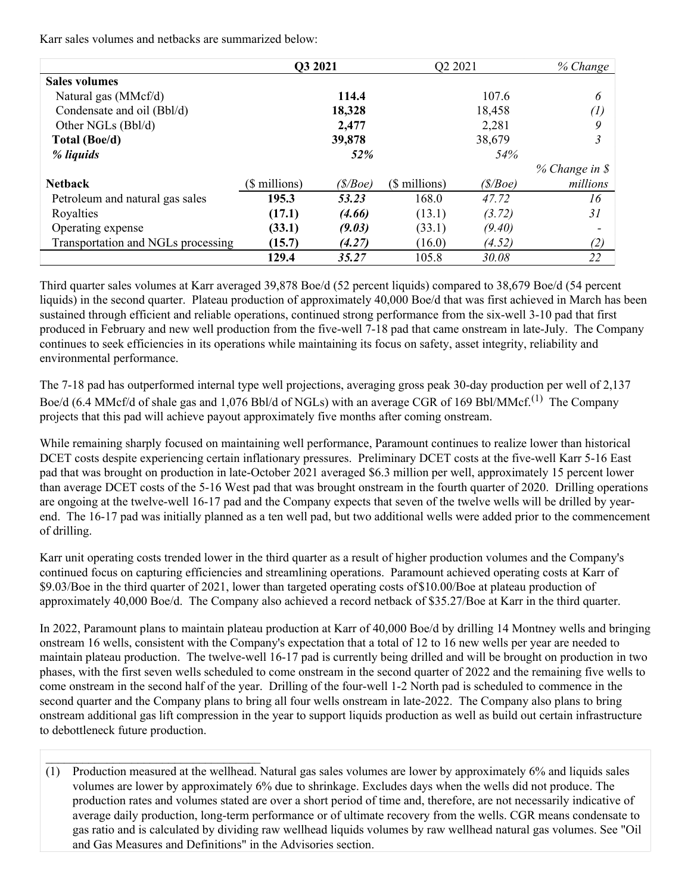Karr sales volumes and netbacks are summarized below:

 $\mathcal{L}_\text{max}$ 

|                                    | Q3 2021       |         | Q2 2021       |         | % Change       |
|------------------------------------|---------------|---------|---------------|---------|----------------|
| <b>Sales volumes</b>               |               |         |               |         |                |
| Natural gas (MMcf/d)               |               | 114.4   |               | 107.6   | 6              |
| Condensate and oil (Bbl/d)         |               | 18,328  |               | 18,458  | (1)            |
| Other NGLs (Bbl/d)                 |               | 2,477   |               | 2,281   | 9              |
| Total (Boe/d)                      |               | 39,878  |               | 38,679  | 3              |
| % liquids                          |               | 52%     |               | 54%     |                |
|                                    |               |         |               |         | % Change in \$ |
| <b>Nethack</b>                     | (\$ millions) | (S/Boe) | (\$ millions) | (S/Boe) | millions       |
| Petroleum and natural gas sales    | 195.3         | 53.23   | 168.0         | 47.72   | 16             |
| Royalties                          | (17.1)        | (4.66)  | (13.1)        | (3.72)  | 31             |
| Operating expense                  | (33.1)        | (9.03)  | (33.1)        | (9.40)  |                |
| Transportation and NGLs processing | (15.7)        | (4.27)  | (16.0)        | (4.52)  | (2)            |
|                                    | 129.4         | 35.27   | 105.8         | 30.08   | 22             |

Third quarter sales volumes at Karr averaged 39,878 Boe/d (52 percent liquids) compared to 38,679 Boe/d (54 percent liquids) in the second quarter. Plateau production of approximately 40,000 Boe/d that was first achieved in March has been sustained through efficient and reliable operations, continued strong performance from the six-well 3-10 pad that first produced in February and new well production from the five-well 7-18 pad that came onstream in late-July. The Company continues to seek efficiencies in its operations while maintaining its focus on safety, asset integrity, reliability and environmental performance.

The 7-18 pad has outperformed internal type well projections, averaging gross peak 30-day production per well of 2,137 Boe/d (6.4 MMcf/d of shale gas and 1,076 Bbl/d of NGLs) with an average CGR of 169 Bbl/MMcf.<sup>(1)</sup> The Company projects that this pad will achieve payout approximately five months after coming onstream.

While remaining sharply focused on maintaining well performance, Paramount continues to realize lower than historical DCET costs despite experiencing certain inflationary pressures. Preliminary DCET costs at the five-well Karr 5-16 East pad that was brought on production in late-October 2021 averaged \$6.3 million per well, approximately 15 percent lower than average DCET costs of the 5-16 West pad that was brought onstream in the fourth quarter of 2020. Drilling operations are ongoing at the twelve-well 16-17 pad and the Company expects that seven of the twelve wells will be drilled by yearend. The 16-17 pad was initially planned as a ten well pad, but two additional wells were added prior to the commencement of drilling.

Karr unit operating costs trended lower in the third quarter as a result of higher production volumes and the Company's continued focus on capturing efficiencies and streamlining operations. Paramount achieved operating costs at Karr of \$9.03/Boe in the third quarter of 2021, lower than targeted operating costs of\$10.00/Boe at plateau production of approximately 40,000 Boe/d. The Company also achieved a record netback of \$35.27/Boe at Karr in the third quarter.

In 2022, Paramount plans to maintain plateau production at Karr of 40,000 Boe/d by drilling 14 Montney wells and bringing onstream 16 wells, consistent with the Company's expectation that a total of 12 to 16 new wells per year are needed to maintain plateau production. The twelve-well 16-17 pad is currently being drilled and will be brought on production in two phases, with the first seven wells scheduled to come onstream in the second quarter of 2022 and the remaining five wells to come onstream in the second half of the year. Drilling of the four-well 1-2 North pad is scheduled to commence in the second quarter and the Company plans to bring all four wells onstream in late-2022. The Company also plans to bring onstream additional gas lift compression in the year to support liquids production as well as build out certain infrastructure to debottleneck future production.

(1) Production measured at the wellhead. Natural gas sales volumes are lower by approximately 6% and liquids sales volumes are lower by approximately 6% due to shrinkage. Excludes days when the wells did not produce. The production rates and volumes stated are over a short period of time and, therefore, are not necessarily indicative of average daily production, long-term performance or of ultimate recovery from the wells. CGR means condensate to gas ratio and is calculated by dividing raw wellhead liquids volumes by raw wellhead natural gas volumes. See "Oil and Gas Measures and Definitions" in the Advisories section.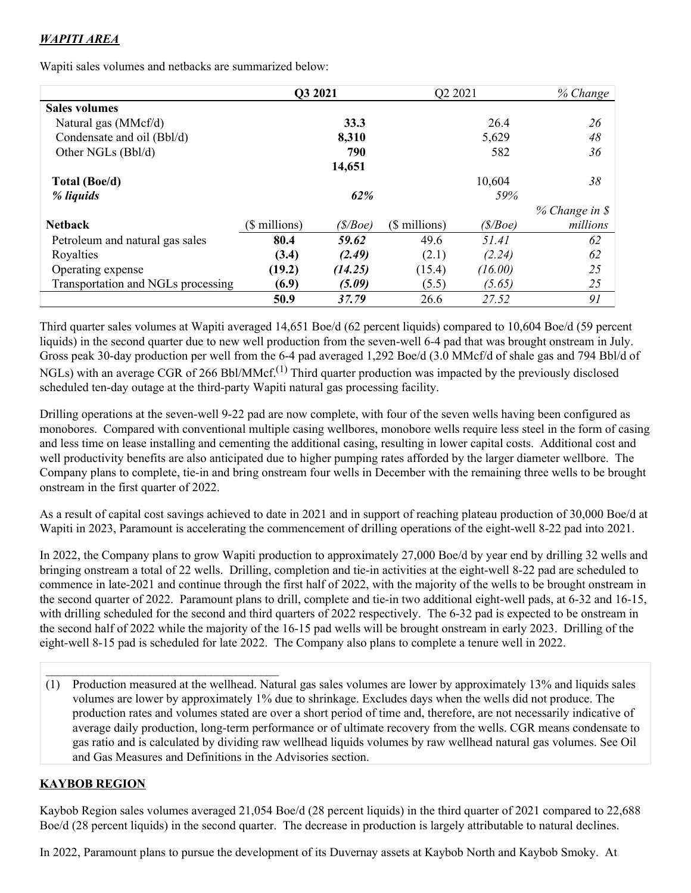# *WAPITI AREA*

Wapiti sales volumes and netbacks are summarized below:

|                                    | Q3 2021       |         | O2 2021       |         | % Change       |
|------------------------------------|---------------|---------|---------------|---------|----------------|
| <b>Sales volumes</b>               |               |         |               |         |                |
| Natural gas (MMcf/d)               |               | 33.3    |               | 26.4    | 26             |
| Condensate and oil (Bbl/d)         |               | 8,310   |               | 5,629   | 48             |
| Other NGLs (Bbl/d)                 |               | 790     |               | 582     | 36             |
|                                    |               | 14,651  |               |         |                |
| Total (Boe/d)                      |               |         |               | 10,604  | 38             |
| % liquids                          |               | 62%     |               | 59%     |                |
|                                    |               |         |               |         | % Change in \$ |
| <b>Netback</b>                     | (\$ millions) | (S/Boe) | (\$ millions) | (S/Boe) | millions       |
| Petroleum and natural gas sales    | 80.4          | 59.62   | 49.6          | 51.41   | 62             |
| Royalties                          | (3.4)         | (2.49)  | (2.1)         | (2.24)  | 62             |
| Operating expense                  | (19.2)        | (14.25) | (15.4)        | (16.00) | 25             |
| Transportation and NGLs processing | (6.9)         | (5.09)  | (5.5)         | (5.65)  | 25             |
|                                    | 50.9          | 37.79   | 26.6          | 27.52   | 91             |

Third quarter sales volumes at Wapiti averaged 14,651 Boe/d (62 percent liquids) compared to 10,604 Boe/d (59 percent liquids) in the second quarter due to new well production from the seven-well 6-4 pad that was brought onstream in July. Gross peak 30-day production per well from the 6-4 pad averaged 1,292 Boe/d (3.0 MMcf/d of shale gas and 794 Bbl/d of NGLs) with an average CGR of 266 Bbl/MMcf.<sup>(1)</sup> Third quarter production was impacted by the previously disclosed scheduled ten-day outage at the third-party Wapiti natural gas processing facility.

Drilling operations at the seven-well 9-22 pad are now complete, with four of the seven wells having been configured as monobores. Compared with conventional multiple casing wellbores, monobore wells require less steel in the form of casing and less time on lease installing and cementing the additional casing, resulting in lower capital costs. Additional cost and well productivity benefits are also anticipated due to higher pumping rates afforded by the larger diameter wellbore. The Company plans to complete, tie-in and bring onstream four wells in December with the remaining three wells to be brought onstream in the first quarter of 2022.

As a result of capital cost savings achieved to date in 2021 and in support of reaching plateau production of 30,000 Boe/d at Wapiti in 2023, Paramount is accelerating the commencement of drilling operations of the eight-well 8-22 pad into 2021.

In 2022, the Company plans to grow Wapiti production to approximately 27,000 Boe/d by year end by drilling 32 wells and bringing onstream a total of 22 wells. Drilling, completion and tie-in activities at the eight-well 8-22 pad are scheduled to commence in late-2021 and continue through the first half of 2022, with the majority of the wells to be brought onstream in the second quarter of 2022. Paramount plans to drill, complete and tie-in two additional eight-well pads, at 6-32 and 16-15, with drilling scheduled for the second and third quarters of 2022 respectively. The 6-32 pad is expected to be onstream in the second half of 2022 while the majority of the 16-15 pad wells will be brought onstream in early 2023. Drilling of the eight-well 8-15 pad is scheduled for late 2022. The Company also plans to complete a tenure well in 2022.

(1) Production measured at the wellhead. Natural gas sales volumes are lower by approximately 13% and liquids sales volumes are lower by approximately 1% due to shrinkage. Excludes days when the wells did not produce. The production rates and volumes stated are over a short period of time and, therefore, are not necessarily indicative of average daily production, long-term performance or of ultimate recovery from the wells. CGR means condensate to gas ratio and is calculated by dividing raw wellhead liquids volumes by raw wellhead natural gas volumes. See Oil and Gas Measures and Definitions in the Advisories section.

# **KAYBOB REGION**

Kaybob Region sales volumes averaged 21,054 Boe/d (28 percent liquids) in the third quarter of 2021 compared to 22,688 Boe/d (28 percent liquids) in the second quarter. The decrease in production is largely attributable to natural declines.

In 2022, Paramount plans to pursue the development of its Duvernay assets at Kaybob North and Kaybob Smoky. At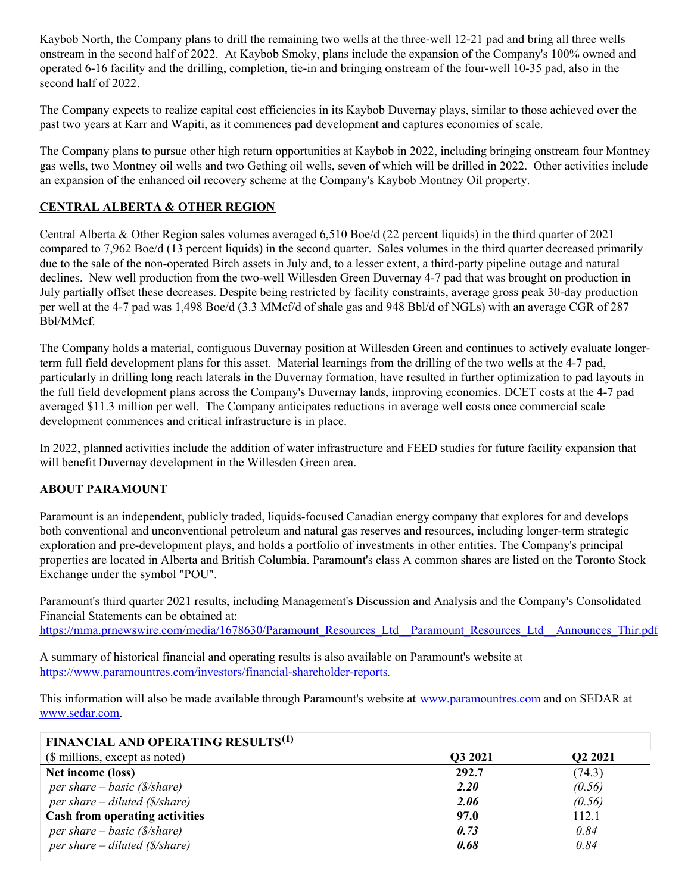Kaybob North, the Company plans to drill the remaining two wells at the three-well 12-21 pad and bring all three wells onstream in the second half of 2022. At Kaybob Smoky, plans include the expansion of the Company's 100% owned and operated 6-16 facility and the drilling, completion, tie-in and bringing onstream of the four-well 10-35 pad, also in the second half of 2022.

The Company expects to realize capital cost efficiencies in its Kaybob Duvernay plays, similar to those achieved over the past two years at Karr and Wapiti, as it commences pad development and captures economies of scale.

The Company plans to pursue other high return opportunities at Kaybob in 2022, including bringing onstream four Montney gas wells, two Montney oil wells and two Gething oil wells, seven of which will be drilled in 2022. Other activities include an expansion of the enhanced oil recovery scheme at the Company's Kaybob Montney Oil property.

# **CENTRAL ALBERTA & OTHER REGION**

Central Alberta & Other Region sales volumes averaged 6,510 Boe/d (22 percent liquids) in the third quarter of 2021 compared to 7,962 Boe/d (13 percent liquids) in the second quarter. Sales volumes in the third quarter decreased primarily due to the sale of the non-operated Birch assets in July and, to a lesser extent, a third-party pipeline outage and natural declines. New well production from the two-well Willesden Green Duvernay 4-7 pad that was brought on production in July partially offset these decreases. Despite being restricted by facility constraints, average gross peak 30-day production per well at the 4-7 pad was 1,498 Boe/d (3.3 MMcf/d of shale gas and 948 Bbl/d of NGLs) with an average CGR of 287 Bbl/MMcf.

The Company holds a material, contiguous Duvernay position at Willesden Green and continues to actively evaluate longerterm full field development plans for this asset. Material learnings from the drilling of the two wells at the 4-7 pad, particularly in drilling long reach laterals in the Duvernay formation, have resulted in further optimization to pad layouts in the full field development plans across the Company's Duvernay lands, improving economics. DCET costs at the 4-7 pad averaged \$11.3 million per well. The Company anticipates reductions in average well costs once commercial scale development commences and critical infrastructure is in place.

In 2022, planned activities include the addition of water infrastructure and FEED studies for future facility expansion that will benefit Duvernay development in the Willesden Green area.

### **ABOUT PARAMOUNT**

Paramount is an independent, publicly traded, liquids-focused Canadian energy company that explores for and develops both conventional and unconventional petroleum and natural gas reserves and resources, including longer-term strategic exploration and pre-development plays, and holds a portfolio of investments in other entities. The Company's principal properties are located in Alberta and British Columbia. Paramount's class A common shares are listed on the Toronto Stock Exchange under the symbol "POU".

Paramount's third quarter 2021 results, including Management's Discussion and Analysis and the Company's Consolidated Financial Statements can be obtained at: [https://mma.prnewswire.com/media/1678630/Paramount\\_Resources\\_Ltd\\_\\_Paramount\\_Resources\\_Ltd\\_\\_Announces\\_Thir.pdf](https://c212.net/c/link/?t=0&l=en&o=3345380-1&h=3618612125&u=https%3A%2F%2Fmma.prnewswire.com%2Fmedia%2F1678630%2FParamount_Resources_Ltd__Paramount_Resources_Ltd__Announces_Thir.pdf&a=https%3A%2F%2Fmma.prnewswire.com%2Fmedia%2F1678630%2FParamount_Resources_Ltd__Paramount_Resources_Ltd__Announces_Thir.pdf)

A summary of historical financial and operating results is also available on Paramount's website at [https://www.paramountres.com/investors/financial-shareholder-reports](https://c212.net/c/link/?t=0&l=en&o=3345380-1&h=3024769360&u=https%3A%2F%2Fwww.paramountres.com%2Finvestors%2Ffinancial-shareholder-reports&a=https%3A%2F%2Fwww.paramountres.com%2Finvestors%2Ffinancial-shareholder-reports).

This information will also be made available through Paramount's website at [www.paramountres.com](https://c212.net/c/link/?t=0&l=en&o=3345380-1&h=827817992&u=http%3A%2F%2Fwww.paramountres.com%2F&a=www.paramountres.com) and on SEDAR at [www.sedar.com](https://c212.net/c/link/?t=0&l=en&o=3345380-1&h=3549464319&u=http%3A%2F%2Fwww.sedar.com%2F&a=www.sedar.com).

| FINANCIAL AND OPERATING RESULTS <sup>(1)</sup> |         |         |
|------------------------------------------------|---------|---------|
| (\$ millions, except as noted)                 | Q3 2021 | Q2 2021 |
| Net income (loss)                              | 292.7   | (74.3)  |
| per share $-basic$ (\$/share)                  | 2.20    | (0.56)  |
| per share – diluted $(\frac{s}{\text{share}})$ | 2.06    | (0.56)  |
| Cash from operating activities                 | 97.0    | 112.1   |
| per share $-basic$ (\$/share)                  | 0.73    | 0.84    |
| per share – diluted $(\frac{s}{\text{share}})$ | 0.68    | 0.84    |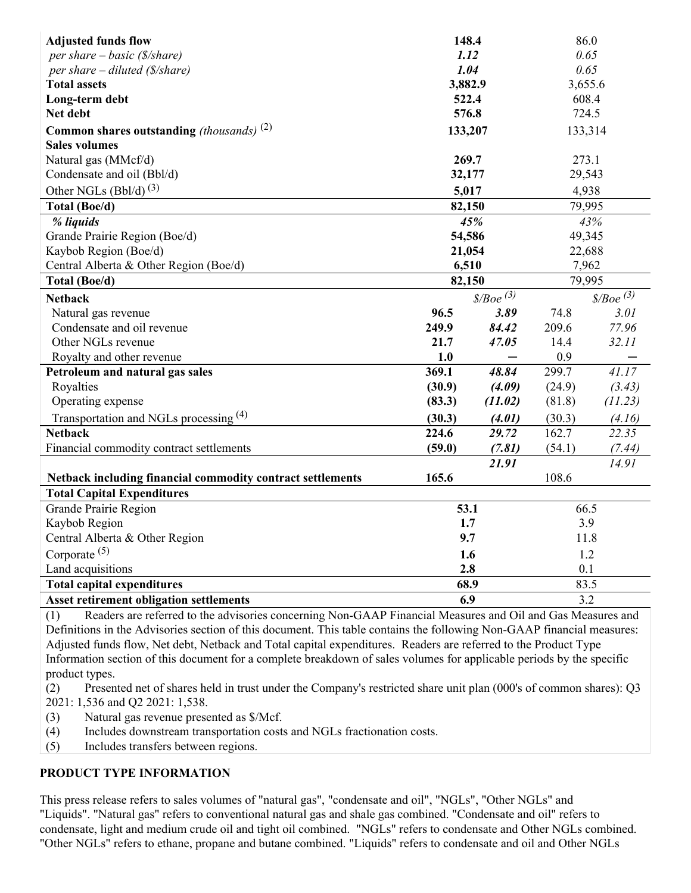| <b>Adjusted funds flow</b>                                                                                             | 148.4   |                                   | 86.0    |                                   |  |  |
|------------------------------------------------------------------------------------------------------------------------|---------|-----------------------------------|---------|-----------------------------------|--|--|
| per share $-$ basic (\$/share)                                                                                         | 1.12    |                                   | 0.65    |                                   |  |  |
| per share $-$ diluted (\$/share)                                                                                       | 1.04    |                                   | 0.65    |                                   |  |  |
| <b>Total assets</b>                                                                                                    | 3,882.9 |                                   | 3,655.6 |                                   |  |  |
| Long-term debt                                                                                                         | 522.4   |                                   | 608.4   |                                   |  |  |
| Net debt                                                                                                               | 576.8   |                                   | 724.5   |                                   |  |  |
| <b>Common shares outstanding</b> (thousands) $^{(2)}$                                                                  | 133,207 |                                   | 133,314 |                                   |  |  |
| <b>Sales volumes</b>                                                                                                   |         |                                   |         |                                   |  |  |
| Natural gas (MMcf/d)                                                                                                   | 269.7   |                                   | 273.1   |                                   |  |  |
| Condensate and oil (Bbl/d)                                                                                             | 32,177  |                                   | 29,543  |                                   |  |  |
| Other NGLs $(Bb1/d)$ <sup>(3)</sup>                                                                                    | 5,017   |                                   | 4,938   |                                   |  |  |
| Total (Boe/d)                                                                                                          | 82,150  |                                   | 79,995  |                                   |  |  |
| % liquids                                                                                                              |         | 45%                               |         | 43%                               |  |  |
| Grande Prairie Region (Boe/d)                                                                                          | 54,586  |                                   | 49,345  |                                   |  |  |
| Kaybob Region (Boe/d)                                                                                                  | 21,054  |                                   | 22,688  |                                   |  |  |
| Central Alberta & Other Region (Boe/d)                                                                                 | 6,510   |                                   | 7,962   |                                   |  |  |
| Total (Boe/d)                                                                                                          | 82,150  |                                   | 79,995  |                                   |  |  |
| <b>Netback</b>                                                                                                         |         | $\frac{\text{8}}{\text{Boe}}$ (3) |         | $\frac{\text{8}}{\text{Boe}}$ (3) |  |  |
| Natural gas revenue                                                                                                    | 96.5    | 3.89                              | 74.8    | 3.01                              |  |  |
| Condensate and oil revenue                                                                                             | 249.9   | 84.42                             | 209.6   | 77.96                             |  |  |
| Other NGLs revenue                                                                                                     | 21.7    | 47.05                             | 14.4    | 32.11                             |  |  |
| Royalty and other revenue                                                                                              | 1.0     |                                   | 0.9     |                                   |  |  |
| Petroleum and natural gas sales                                                                                        | 369.1   | 48.84                             | 299.7   | 41.17                             |  |  |
| Royalties                                                                                                              | (30.9)  | (4.09)                            | (24.9)  | (3.43)                            |  |  |
| Operating expense                                                                                                      | (83.3)  | (11.02)                           | (81.8)  | (11.23)                           |  |  |
| Transportation and NGLs processing (4)                                                                                 | (30.3)  | (4.01)                            | (30.3)  | (4.16)                            |  |  |
| <b>Netback</b>                                                                                                         | 224.6   | 29.72                             | 162.7   | 22.35                             |  |  |
| Financial commodity contract settlements                                                                               | (59.0)  | (7.81)                            | (54.1)  | (7.44)                            |  |  |
|                                                                                                                        |         | 21.91                             |         | 14.91                             |  |  |
| Netback including financial commodity contract settlements                                                             | 165.6   |                                   | 108.6   |                                   |  |  |
| <b>Total Capital Expenditures</b>                                                                                      |         |                                   |         |                                   |  |  |
| Grande Prairie Region                                                                                                  | 53.1    |                                   | 66.5    |                                   |  |  |
| Kaybob Region                                                                                                          | 1.7     |                                   | 3.9     |                                   |  |  |
| Central Alberta & Other Region                                                                                         | 9.7     |                                   | 11.8    |                                   |  |  |
| Corporate $(5)$                                                                                                        | 1.6     |                                   | 1.2     |                                   |  |  |
| Land acquisitions                                                                                                      | 2.8     |                                   | 0.1     |                                   |  |  |
| <b>Total capital expenditures</b>                                                                                      | 68.9    |                                   | 83.5    |                                   |  |  |
| 6.9<br>3.2<br><b>Asset retirement obligation settlements</b>                                                           |         |                                   |         |                                   |  |  |
| Readers are referred to the advisories concerning Non-GAAP Financial Measures and Oil and Gas Measures and<br>(1)      |         |                                   |         |                                   |  |  |
| Definitions in the Advisories section of this document. This table contains the following Non-GAAP financial measures: |         |                                   |         |                                   |  |  |
| Adjusted funds flow, Net debt, Netback and Total capital expenditures. Readers are referred to the Product Type        |         |                                   |         |                                   |  |  |

Information section of this document for a complete breakdown of sales volumes for applicable periods by the specific product types.

(2) Presented net of shares held in trust under the Company's restricted share unit plan (000's of common shares): Q3 2021: 1,536 and Q2 2021: 1,538.

(3) Natural gas revenue presented as \$/Mcf.

(4) Includes downstream transportation costs and NGLs fractionation costs.

(5) Includes transfers between regions.

### **PRODUCT TYPE INFORMATION**

This press release refers to sales volumes of "natural gas", "condensate and oil", "NGLs", "Other NGLs" and "Liquids". "Natural gas" refers to conventional natural gas and shale gas combined. "Condensate and oil" refers to condensate, light and medium crude oil and tight oil combined. "NGLs" refers to condensate and Other NGLs combined. "Other NGLs" refers to ethane, propane and butane combined. "Liquids" refers to condensate and oil and Other NGLs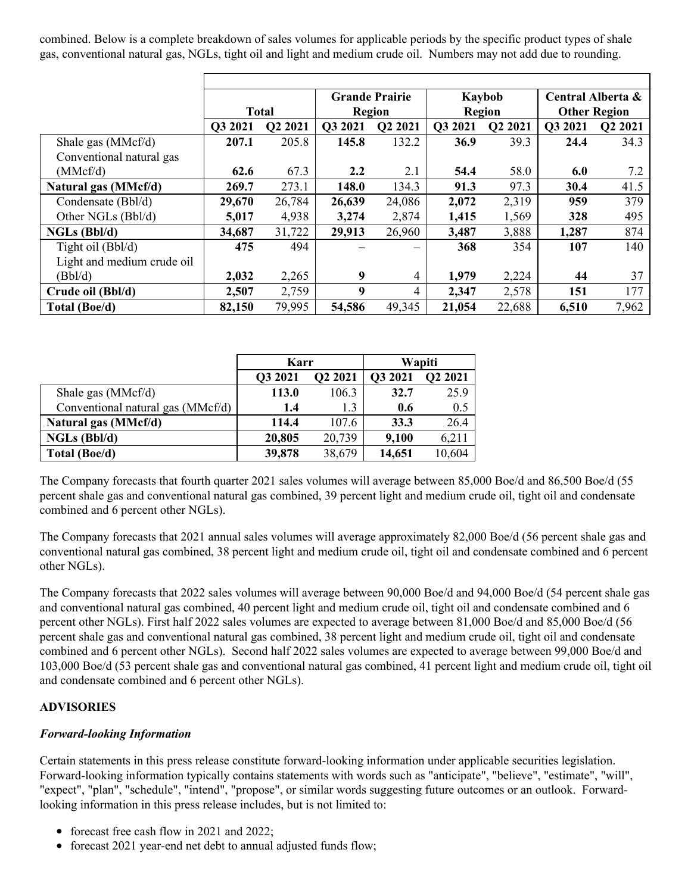combined. Below is a complete breakdown of sales volumes for applicable periods by the specific product types of shale gas, conventional natural gas, NGLs, tight oil and light and medium crude oil. Numbers may not add due to rounding.

|                            |         |                     |         | <b>Grande Prairie</b> |         | Kaybob  | Central Alberta &   |         |
|----------------------------|---------|---------------------|---------|-----------------------|---------|---------|---------------------|---------|
|                            |         | <b>Total</b>        | Region  |                       | Region  |         | <b>Other Region</b> |         |
|                            | Q3 2021 | O <sub>2</sub> 2021 | Q3 2021 | Q2 2021               | O3 2021 | Q2 2021 | O3 2021             | Q2 2021 |
| Shale gas (MMcf/d)         | 207.1   | 205.8               | 145.8   | 132.2                 | 36.9    | 39.3    | 24.4                | 34.3    |
| Conventional natural gas   |         |                     |         |                       |         |         |                     |         |
| (MMcf/d)                   | 62.6    | 67.3                | 2.2     | 2.1                   | 54.4    | 58.0    | 6.0                 | 7.2     |
| Natural gas (MMcf/d)       | 269.7   | 273.1               | 148.0   | 134.3                 | 91.3    | 97.3    | 30.4                | 41.5    |
| Condensate (Bbl/d)         | 29,670  | 26,784              | 26,639  | 24,086                | 2,072   | 2,319   | 959                 | 379     |
| Other NGLs (Bbl/d)         | 5,017   | 4,938               | 3,274   | 2,874                 | 1,415   | 1,569   | 328                 | 495     |
| $NGLs$ (Bbl/d)             | 34,687  | 31,722              | 29,913  | 26,960                | 3,487   | 3,888   | 1,287               | 874     |
| Tight oil (Bbl/d)          | 475     | 494                 |         | —                     | 368     | 354     | 107                 | 140     |
| Light and medium crude oil |         |                     |         |                       |         |         |                     |         |
| (Bbl/d)                    | 2,032   | 2,265               | 9       | 4                     | 1,979   | 2,224   | 44                  | 37      |
| Crude oil (Bbl/d)          | 2,507   | 2,759               | 9       | 4                     | 2,347   | 2,578   | 151                 | 177     |
| Total (Boe/d)              | 82,150  | 79,995              | 54,586  | 49,345                | 21,054  | 22,688  | 6,510               | 7,962   |

|                                   | Karr    |         | Wapiti  |         |  |
|-----------------------------------|---------|---------|---------|---------|--|
|                                   | Q3 2021 | Q2 2021 | Q3 2021 | Q2 2021 |  |
| Shale gas $(MMcf/d)$              | 113.0   | 106.3   | 32.7    | 25.9    |  |
| Conventional natural gas (MMcf/d) | 1.4     | 1.3     | 0.6     | 0.5     |  |
| Natural gas (MMcf/d)              | 114.4   | 107.6   | 33.3    | 26.4    |  |
| NGLs (Bbl/d)                      | 20,805  | 20,739  | 9,100   | 6,211   |  |
| Total (Boe/d)                     | 39,878  | 38,679  | 14,651  | 10,604  |  |

The Company forecasts that fourth quarter 2021 sales volumes will average between 85,000 Boe/d and 86,500 Boe/d (55 percent shale gas and conventional natural gas combined, 39 percent light and medium crude oil, tight oil and condensate combined and 6 percent other NGLs).

The Company forecasts that 2021 annual sales volumes will average approximately 82,000 Boe/d (56 percent shale gas and conventional natural gas combined, 38 percent light and medium crude oil, tight oil and condensate combined and 6 percent other NGLs).

The Company forecasts that 2022 sales volumes will average between 90,000 Boe/d and 94,000 Boe/d (54 percent shale gas and conventional natural gas combined, 40 percent light and medium crude oil, tight oil and condensate combined and 6 percent other NGLs). First half 2022 sales volumes are expected to average between 81,000 Boe/d and 85,000 Boe/d (56 percent shale gas and conventional natural gas combined, 38 percent light and medium crude oil, tight oil and condensate combined and 6 percent other NGLs). Second half 2022 sales volumes are expected to average between 99,000 Boe/d and 103,000 Boe/d (53 percent shale gas and conventional natural gas combined, 41 percent light and medium crude oil, tight oil and condensate combined and 6 percent other NGLs).

### **ADVISORIES**

### *Forward-looking Information*

Certain statements in this press release constitute forward-looking information under applicable securities legislation. Forward-looking information typically contains statements with words such as "anticipate", "believe", "estimate", "will", "expect", "plan", "schedule", "intend", "propose", or similar words suggesting future outcomes or an outlook. Forwardlooking information in this press release includes, but is not limited to:

- forecast free cash flow in 2021 and 2022;
- forecast 2021 year-end net debt to annual adjusted funds flow;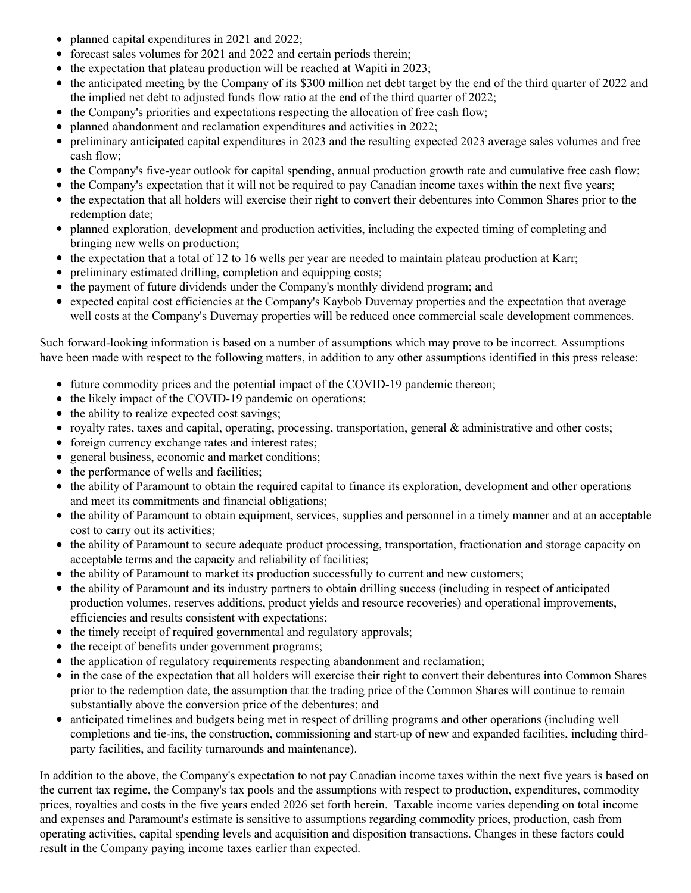- planned capital expenditures in 2021 and 2022;
- forecast sales volumes for 2021 and 2022 and certain periods therein;
- $\bullet$  the expectation that plateau production will be reached at Wapiti in 2023;
- the anticipated meeting by the Company of its \$300 million net debt target by the end of the third quarter of 2022 and the implied net debt to adjusted funds flow ratio at the end of the third quarter of 2022;
- the Company's priorities and expectations respecting the allocation of free cash flow;
- planned abandonment and reclamation expenditures and activities in 2022;
- preliminary anticipated capital expenditures in 2023 and the resulting expected 2023 average sales volumes and free cash flow;
- the Company's five-year outlook for capital spending, annual production growth rate and cumulative free cash flow;
- the Company's expectation that it will not be required to pay Canadian income taxes within the next five years;
- the expectation that all holders will exercise their right to convert their debentures into Common Shares prior to the redemption date;
- planned exploration, development and production activities, including the expected timing of completing and bringing new wells on production;
- $\bullet$  the expectation that a total of 12 to 16 wells per year are needed to maintain plateau production at Karr;
- preliminary estimated drilling, completion and equipping costs;
- the payment of future dividends under the Company's monthly dividend program; and
- expected capital cost efficiencies at the Company's Kaybob Duvernay properties and the expectation that average well costs at the Company's Duvernay properties will be reduced once commercial scale development commences.

Such forward-looking information is based on a number of assumptions which may prove to be incorrect. Assumptions have been made with respect to the following matters, in addition to any other assumptions identified in this press release:

- future commodity prices and the potential impact of the COVID-19 pandemic thereon;
- the likely impact of the COVID-19 pandemic on operations;
- the ability to realize expected cost savings;
- royalty rates, taxes and capital, operating, processing, transportation, general & administrative and other costs;
- foreign currency exchange rates and interest rates;
- general business, economic and market conditions;
- the performance of wells and facilities;
- the ability of Paramount to obtain the required capital to finance its exploration, development and other operations and meet its commitments and financial obligations;
- the ability of Paramount to obtain equipment, services, supplies and personnel in a timely manner and at an acceptable cost to carry out its activities;
- the ability of Paramount to secure adequate product processing, transportation, fractionation and storage capacity on acceptable terms and the capacity and reliability of facilities;
- the ability of Paramount to market its production successfully to current and new customers;
- the ability of Paramount and its industry partners to obtain drilling success (including in respect of anticipated production volumes, reserves additions, product yields and resource recoveries) and operational improvements, efficiencies and results consistent with expectations;
- the timely receipt of required governmental and regulatory approvals;
- the receipt of benefits under government programs;
- the application of regulatory requirements respecting abandonment and reclamation;
- in the case of the expectation that all holders will exercise their right to convert their debentures into Common Shares prior to the redemption date, the assumption that the trading price of the Common Shares will continue to remain substantially above the conversion price of the debentures; and
- anticipated timelines and budgets being met in respect of drilling programs and other operations (including well completions and tie-ins, the construction, commissioning and start-up of new and expanded facilities, including thirdparty facilities, and facility turnarounds and maintenance).

In addition to the above, the Company's expectation to not pay Canadian income taxes within the next five years is based on the current tax regime, the Company's tax pools and the assumptions with respect to production, expenditures, commodity prices, royalties and costs in the five years ended 2026 set forth herein. Taxable income varies depending on total income and expenses and Paramount's estimate is sensitive to assumptions regarding commodity prices, production, cash from operating activities, capital spending levels and acquisition and disposition transactions. Changes in these factors could result in the Company paying income taxes earlier than expected.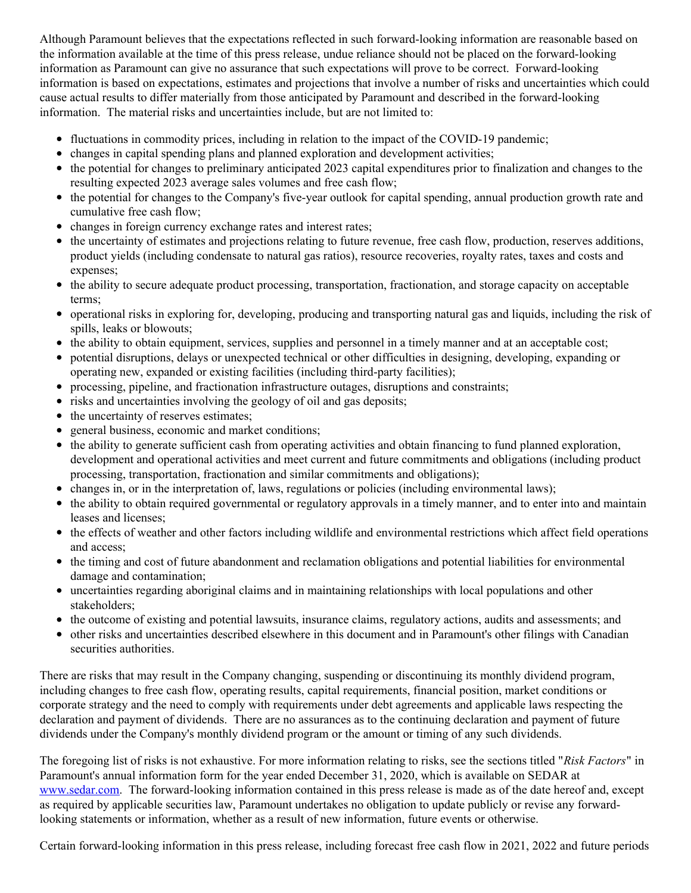Although Paramount believes that the expectations reflected in such forward-looking information are reasonable based on the information available at the time of this press release, undue reliance should not be placed on the forward-looking information as Paramount can give no assurance that such expectations will prove to be correct. Forward-looking information is based on expectations, estimates and projections that involve a number of risks and uncertainties which could cause actual results to differ materially from those anticipated by Paramount and described in the forward-looking information. The material risks and uncertainties include, but are not limited to:

- fluctuations in commodity prices, including in relation to the impact of the COVID-19 pandemic;
- changes in capital spending plans and planned exploration and development activities;
- the potential for changes to preliminary anticipated 2023 capital expenditures prior to finalization and changes to the resulting expected 2023 average sales volumes and free cash flow;
- the potential for changes to the Company's five-year outlook for capital spending, annual production growth rate and cumulative free cash flow;
- changes in foreign currency exchange rates and interest rates;
- the uncertainty of estimates and projections relating to future revenue, free cash flow, production, reserves additions, product yields (including condensate to natural gas ratios), resource recoveries, royalty rates, taxes and costs and expenses;
- the ability to secure adequate product processing, transportation, fractionation, and storage capacity on acceptable terms;
- operational risks in exploring for, developing, producing and transporting natural gas and liquids, including the risk of spills, leaks or blowouts;
- the ability to obtain equipment, services, supplies and personnel in a timely manner and at an acceptable cost;
- potential disruptions, delays or unexpected technical or other difficulties in designing, developing, expanding or operating new, expanded or existing facilities (including third-party facilities);
- processing, pipeline, and fractionation infrastructure outages, disruptions and constraints;
- risks and uncertainties involving the geology of oil and gas deposits;
- the uncertainty of reserves estimates;
- general business, economic and market conditions;
- the ability to generate sufficient cash from operating activities and obtain financing to fund planned exploration, development and operational activities and meet current and future commitments and obligations (including product processing, transportation, fractionation and similar commitments and obligations);
- changes in, or in the interpretation of, laws, regulations or policies (including environmental laws);
- the ability to obtain required governmental or regulatory approvals in a timely manner, and to enter into and maintain leases and licenses;
- the effects of weather and other factors including wildlife and environmental restrictions which affect field operations and access;
- the timing and cost of future abandonment and reclamation obligations and potential liabilities for environmental damage and contamination;
- uncertainties regarding aboriginal claims and in maintaining relationships with local populations and other stakeholders;
- the outcome of existing and potential lawsuits, insurance claims, regulatory actions, audits and assessments; and
- other risks and uncertainties described elsewhere in this document and in Paramount's other filings with Canadian securities authorities.

There are risks that may result in the Company changing, suspending or discontinuing its monthly dividend program, including changes to free cash flow, operating results, capital requirements, financial position, market conditions or corporate strategy and the need to comply with requirements under debt agreements and applicable laws respecting the declaration and payment of dividends. There are no assurances as to the continuing declaration and payment of future dividends under the Company's monthly dividend program or the amount or timing of any such dividends.

The foregoing list of risks is not exhaustive. For more information relating to risks, see the sections titled "*Risk Factors*" in Paramount's annual information form for the year ended December 31, 2020, which is available on SEDAR at [www.sedar.com](https://c212.net/c/link/?t=0&l=en&o=3345380-1&h=3549464319&u=http%3A%2F%2Fwww.sedar.com%2F&a=www.sedar.com). The forward-looking information contained in this press release is made as of the date hereof and, except as required by applicable securities law, Paramount undertakes no obligation to update publicly or revise any forwardlooking statements or information, whether as a result of new information, future events or otherwise.

Certain forward-looking information in this press release, including forecast free cash flow in 2021, 2022 and future periods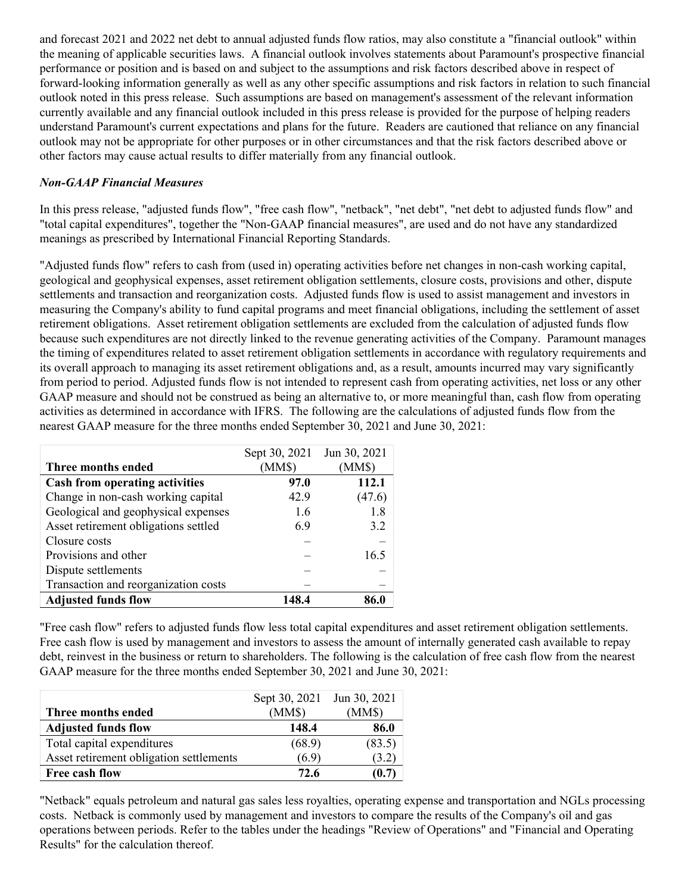and forecast 2021 and 2022 net debt to annual adjusted funds flow ratios, may also constitute a "financial outlook" within the meaning of applicable securities laws. A financial outlook involves statements about Paramount's prospective financial performance or position and is based on and subject to the assumptions and risk factors described above in respect of forward-looking information generally as well as any other specific assumptions and risk factors in relation to such financial outlook noted in this press release. Such assumptions are based on management's assessment of the relevant information currently available and any financial outlook included in this press release is provided for the purpose of helping readers understand Paramount's current expectations and plans for the future. Readers are cautioned that reliance on any financial outlook may not be appropriate for other purposes or in other circumstances and that the risk factors described above or other factors may cause actual results to differ materially from any financial outlook.

### *Non-GAAP Financial Measures*

In this press release, "adjusted funds flow", "free cash flow", "netback", "net debt", "net debt to adjusted funds flow" and "total capital expenditures", together the "Non-GAAP financial measures", are used and do not have any standardized meanings as prescribed by International Financial Reporting Standards.

"Adjusted funds flow" refers to cash from (used in) operating activities before net changes in non-cash working capital, geological and geophysical expenses, asset retirement obligation settlements, closure costs, provisions and other, dispute settlements and transaction and reorganization costs. Adjusted funds flow is used to assist management and investors in measuring the Company's ability to fund capital programs and meet financial obligations, including the settlement of asset retirement obligations. Asset retirement obligation settlements are excluded from the calculation of adjusted funds flow because such expenditures are not directly linked to the revenue generating activities of the Company. Paramount manages the timing of expenditures related to asset retirement obligation settlements in accordance with regulatory requirements and its overall approach to managing its asset retirement obligations and, as a result, amounts incurred may vary significantly from period to period. Adjusted funds flow is not intended to represent cash from operating activities, net loss or any other GAAP measure and should not be construed as being an alternative to, or more meaningful than, cash flow from operating activities as determined in accordance with IFRS. The following are the calculations of adjusted funds flow from the nearest GAAP measure for the three months ended September 30, 2021 and June 30, 2021:

|                                       | Sept 30, 2021 | Jun 30, 2021 |
|---------------------------------------|---------------|--------------|
| Three months ended                    | (MM\$)        | (MM\$)       |
| <b>Cash from operating activities</b> | 97.0          | 112.1        |
| Change in non-cash working capital    | 42.9          | (47.6)       |
| Geological and geophysical expenses   | 1.6           | 1.8          |
| Asset retirement obligations settled  | 6.9           | 3.2          |
| Closure costs                         |               |              |
| Provisions and other                  |               | 16.5         |
| Dispute settlements                   |               |              |
| Transaction and reorganization costs  |               |              |
| <b>Adjusted funds flow</b>            | 148.4         | 86.0         |

"Free cash flow" refers to adjusted funds flow less total capital expenditures and asset retirement obligation settlements. Free cash flow is used by management and investors to assess the amount of internally generated cash available to repay debt, reinvest in the business or return to shareholders. The following is the calculation of free cash flow from the nearest GAAP measure for the three months ended September 30, 2021 and June 30, 2021:

|                                         | Sept 30, 2021 | Jun 30, 2021 |
|-----------------------------------------|---------------|--------------|
| Three months ended                      | (MM\$)        | (MM\$)       |
| <b>Adjusted funds flow</b>              | 148.4         | 86.0         |
| Total capital expenditures              | (68.9)        | (83.5)       |
| Asset retirement obligation settlements | (6.9)         | (3.2)        |
| Free cash flow                          | 72.6          | (0.7)        |

"Netback" equals petroleum and natural gas sales less royalties, operating expense and transportation and NGLs processing costs. Netback is commonly used by management and investors to compare the results of the Company's oil and gas operations between periods. Refer to the tables under the headings "Review of Operations" and "Financial and Operating Results" for the calculation thereof.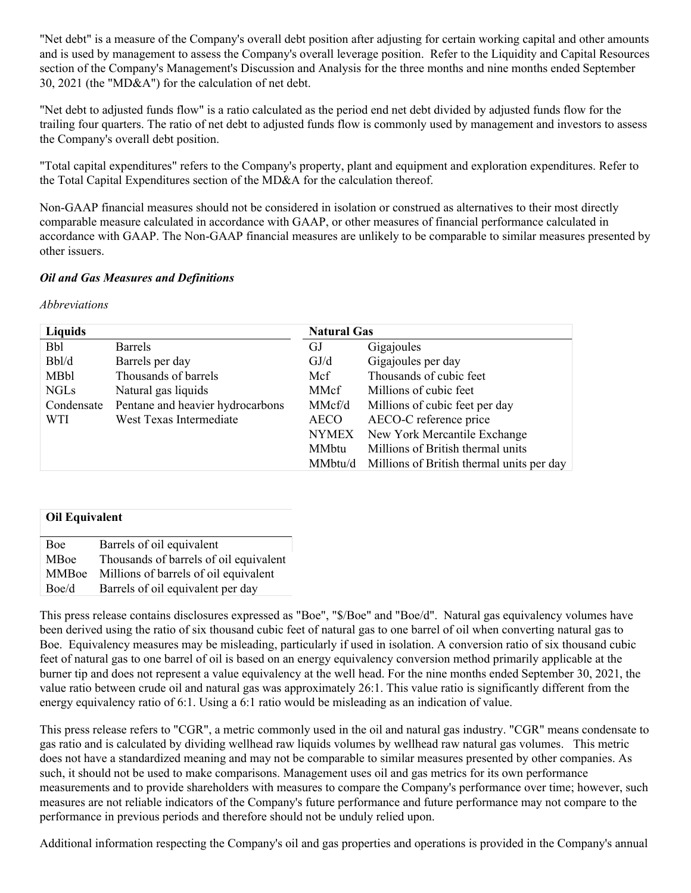"Net debt" is a measure of the Company's overall debt position after adjusting for certain working capital and other amounts and is used by management to assess the Company's overall leverage position. Refer to the Liquidity and Capital Resources section of the Company's Management's Discussion and Analysis for the three months and nine months ended September 30, 2021 (the "MD&A") for the calculation of net debt.

"Net debt to adjusted funds flow" is a ratio calculated as the period end net debt divided by adjusted funds flow for the trailing four quarters. The ratio of net debt to adjusted funds flow is commonly used by management and investors to assess the Company's overall debt position.

"Total capital expenditures" refers to the Company's property, plant and equipment and exploration expenditures. Refer to the Total Capital Expenditures section of the MD&A for the calculation thereof.

Non-GAAP financial measures should not be considered in isolation or construed as alternatives to their most directly comparable measure calculated in accordance with GAAP, or other measures of financial performance calculated in accordance with GAAP. The Non-GAAP financial measures are unlikely to be comparable to similar measures presented by other issuers.

#### *Oil and Gas Measures and Definitions*

#### *Abbreviations*

| Liquids     |                                  | <b>Natural Gas</b> |                                           |
|-------------|----------------------------------|--------------------|-------------------------------------------|
| <b>Bbl</b>  | <b>Barrels</b>                   | GJ                 | Gigajoules                                |
| Bbl/d       | Barrels per day                  | GJ/d               | Gigajoules per day                        |
| MBbl        | Thousands of barrels             | Mcf                | Thousands of cubic feet                   |
| <b>NGLs</b> | Natural gas liquids              | MMcf               | Millions of cubic feet                    |
| Condensate  | Pentane and heavier hydrocarbons | MMcf/d             | Millions of cubic feet per day            |
| WTI         | West Texas Intermediate          | <b>AECO</b>        | AECO-C reference price                    |
|             |                                  | <b>NYMEX</b>       | New York Mercantile Exchange              |
|             |                                  | MMbtu              | Millions of British thermal units         |
|             |                                  | MMbtu/d            | Millions of British thermal units per day |

| <b>Oil Equivalent</b> |                                        |
|-----------------------|----------------------------------------|
| Boe                   | Barrels of oil equivalent              |
| MBoe                  | Thousands of barrels of oil equivalent |
| <b>MMBoe</b>          | Millions of barrels of oil equivalent  |
| Boe/d                 | Barrels of oil equivalent per day      |

This press release contains disclosures expressed as "Boe", "\$/Boe" and "Boe/d". Natural gas equivalency volumes have been derived using the ratio of six thousand cubic feet of natural gas to one barrel of oil when converting natural gas to Boe. Equivalency measures may be misleading, particularly if used in isolation. A conversion ratio of six thousand cubic feet of natural gas to one barrel of oil is based on an energy equivalency conversion method primarily applicable at the burner tip and does not represent a value equivalency at the well head. For the nine months ended September 30, 2021, the value ratio between crude oil and natural gas was approximately 26:1. This value ratio is significantly different from the energy equivalency ratio of 6:1. Using a 6:1 ratio would be misleading as an indication of value.

This press release refers to "CGR", a metric commonly used in the oil and natural gas industry. "CGR" means condensate to gas ratio and is calculated by dividing wellhead raw liquids volumes by wellhead raw natural gas volumes. This metric does not have a standardized meaning and may not be comparable to similar measures presented by other companies. As such, it should not be used to make comparisons. Management uses oil and gas metrics for its own performance measurements and to provide shareholders with measures to compare the Company's performance over time; however, such measures are not reliable indicators of the Company's future performance and future performance may not compare to the performance in previous periods and therefore should not be unduly relied upon.

Additional information respecting the Company's oil and gas properties and operations is provided in the Company's annual